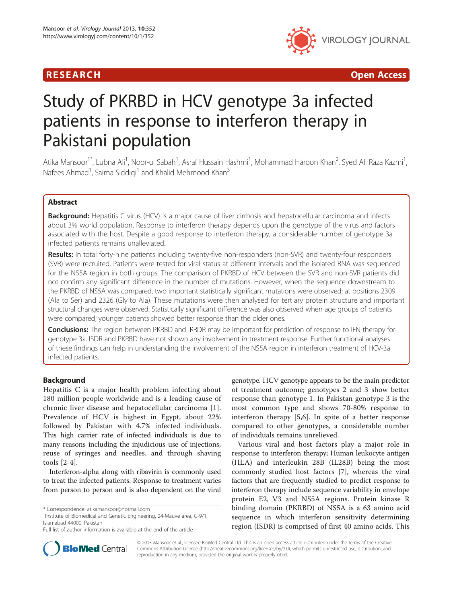



# Study of PKRBD in HCV genotype 3a infected patients in response to interferon therapy in Pakistani population

Atika Mansoor<sup>1\*</sup>, Lubna Ali<sup>1</sup>, Noor-ul Sabah<sup>1</sup>, Asraf Hussain Hashmi<sup>1</sup>, Mohammad Haroon Khan<sup>2</sup>, Syed Ali Raza Kazmi<sup>1</sup> , Nafees Ahmad<sup>1</sup>, Saima Siddiqi<sup>1</sup> and Khalid Mehmood Khan<sup>3</sup>

# Abstract

Background: Hepatitis C virus (HCV) is a major cause of liver cirrhosis and hepatocellular carcinoma and infects about 3% world population. Response to interferon therapy depends upon the genotype of the virus and factors associated with the host. Despite a good response to interferon therapy, a considerable number of genotype 3a infected patients remains unalleviated.

Results: In total forty-nine patients including twenty-five non-responders (non-SVR) and twenty-four responders (SVR) were recruited. Patients were tested for viral status at different intervals and the isolated RNA was sequenced for the NS5A region in both groups. The comparison of PKRBD of HCV between the SVR and non-SVR patients did not confirm any significant difference in the number of mutations. However, when the sequence downstream to the PKRBD of NS5A was compared, two important statistically significant mutations were observed; at positions 2309 (Ala to Ser) and 2326 (Gly to Ala). These mutations were then analysed for tertiary protein structure and important structural changes were observed. Statistically significant difference was also observed when age groups of patients were compared; younger patients showed better response than the older ones.

Conclusions: The region between PKRBD and IRRDR may be important for prediction of response to IFN therapy for genotype 3a. ISDR and PKRBD have not shown any involvement in treatment response. Further functional analyses of these findings can help in understanding the involvement of the NS5A region in interferon treatment of HCV-3a infected patients.

# Background

Hepatitis C is a major health problem infecting about 180 million people worldwide and is a leading cause of chronic liver disease and hepatocellular carcinoma [\[1](#page-6-0)]. Prevalence of HCV is highest in Egypt, about 22% followed by Pakistan with 4.7% infected individuals. This high carrier rate of infected individuals is due to many reasons including the injudicious use of injections, reuse of syringes and needles, and through shaving tools [\[2](#page-6-0)-[4\]](#page-6-0).

Interferon-alpha along with ribavirin is commonly used to treat the infected patients. Response to treatment varies from person to person and is also dependent on the viral

 $1$ Institute of Biomedical and Genetic Engineering, 24-Mauve area, G-9/1, Islamabad 44000, Pakistan

genotype. HCV genotype appears to be the main predictor of treatment outcome; genotypes 2 and 3 show better response than genotype 1. In Pakistan genotype 3 is the most common type and shows 70-80% response to interferon therapy [\[5](#page-6-0),[6\]](#page-6-0). In spite of a better response compared to other genotypes, a considerable number of individuals remains unrelieved.

Various viral and host factors play a major role in response to interferon therapy; Human leukocyte antigen (HLA) and interleukin 28B (IL28B) being the most commonly studied host factors [\[7](#page-6-0)], whereas the viral factors that are frequently studied to predict response to interferon therapy include sequence variability in envelope protein E2, V3 and NS5A regions. Protein kinase R binding domain (PKRBD) of NS5A is a 63 amino acid sequence in which interferon sensitivity determining region (ISDR) is comprised of first 40 amino acids. This



© 2013 Mansoor et al.; licensee BioMed Central Ltd. This is an open access article distributed under the terms of the Creative Commons Attribution License [\(http://creativecommons.org/licenses/by/2.0\)](http://creativecommons.org/licenses/by/2.0), which permits unrestricted use, distribution, and reproduction in any medium, provided the original work is properly cited.

<sup>\*</sup> Correspondence: [atikamansoor@hotmail.com](mailto:atikamansoor@hotmail.com) <sup>1</sup>

Full list of author information is available at the end of the article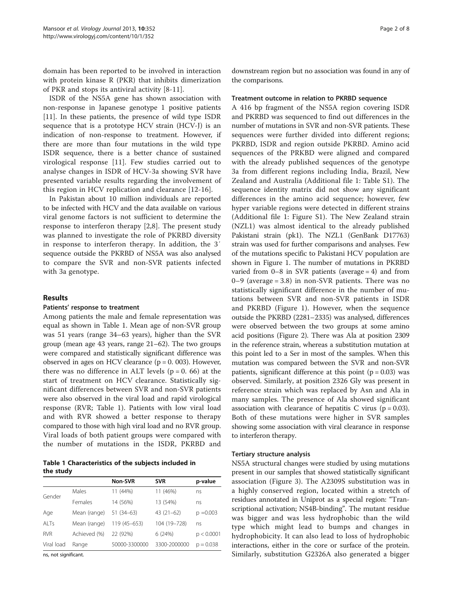<span id="page-1-0"></span>domain has been reported to be involved in interaction with protein kinase R (PKR) that inhibits dimerization of PKR and stops its antiviral activity [\[8](#page-7-0)-[11\]](#page-7-0).

ISDR of the NS5A gene has shown association with non-response in Japanese genotype 1 positive patients [[11\]](#page-7-0). In these patients, the presence of wild type ISDR sequence that is a prototype HCV strain (HCV-J) is an indication of non-response to treatment. However, if there are more than four mutations in the wild type ISDR sequence, there is a better chance of sustained virological response [[11\]](#page-7-0). Few studies carried out to analyse changes in ISDR of HCV-3a showing SVR have presented variable results regarding the involvement of this region in HCV replication and clearance [[12-16\]](#page-7-0).

In Pakistan about 10 million individuals are reported to be infected with HCV and the data available on various viral genome factors is not sufficient to determine the response to interferon therapy [\[2](#page-6-0),[8\]](#page-7-0). The present study was planned to investigate the role of PKRBD diversity in response to interferon therapy. In addition, the 3′ sequence outside the PKRBD of NS5A was also analysed to compare the SVR and non-SVR patients infected with 3a genotype.

## Results

## Patients' response to treatment

Among patients the male and female representation was equal as shown in Table 1. Mean age of non-SVR group was 51 years (range 34–63 years), higher than the SVR group (mean age 43 years, range 21–62). The two groups were compared and statistically significant difference was observed in ages on HCV clearance  $(p = 0.003)$ . However, there was no difference in ALT levels ( $p = 0$ . 66) at the start of treatment on HCV clearance. Statistically significant differences between SVR and non-SVR patients were also observed in the viral load and rapid virological response (RVR; Table 1). Patients with low viral load and with RVR showed a better response to therapy compared to those with high viral load and no RVR group. Viral loads of both patient groups were compared with the number of mutations in the ISDR, PKRBD and

Table 1 Characteristics of the subjects included in the study

|            |              | Non-SVR       | <b>SVR</b>   | p-value     |
|------------|--------------|---------------|--------------|-------------|
| Gender     | Males        | 11 (44%)      | 11 (46%)     | ns          |
|            | Females      | 14 (56%)      | 13 (54%)     | ns          |
| Age        | Mean (range) | 51 (34-63)    | $43(21-62)$  | $p = 0.003$ |
| AI Ts      | Mean (range) | 119 (45-653)  | 104 (19-728) | ns          |
| <b>RVR</b> | Achieved (%) | 22 (92%)      | 6(24%)       | p < 0.0001  |
| Viral load | Range        | 50000-3300000 | 3300-2000000 | $p = 0.038$ |
|            |              |               |              |             |

ns, not significant.

downstream region but no association was found in any of the comparisons.

#### Treatment outcome in relation to PKRBD sequence

A 416 bp fragment of the NS5A region covering ISDR and PKRBD was sequenced to find out differences in the number of mutations in SVR and non-SVR patients. These sequences were further divided into different regions; PKRBD, ISDR and region outside PKRBD. Amino acid sequences of the PRKBD were aligned and compared with the already published sequences of the genotype 3a from different regions including India, Brazil, New Zealand and Australia (Additional file [1](#page-6-0): Table S1). The sequence identity matrix did not show any significant differences in the amino acid sequence; however, few hyper variable regions were detected in different strains (Additional file [1:](#page-6-0) Figure S1). The New Zealand strain (NZL1) was almost identical to the already published Pakistani strain (pk1). The NZL1 (GenBank D17763) strain was used for further comparisons and analyses. Few of the mutations specific to Pakistani HCV population are shown in Figure [1.](#page-2-0) The number of mutations in PKRBD varied from 0–8 in SVR patients (average = 4) and from 0–9 (average = 3.8) in non-SVR patients. There was no statistically significant difference in the number of mutations between SVR and non-SVR patients in ISDR and PKRBD (Figure [1\)](#page-2-0). However, when the sequence outside the PKRBD (2281–2335) was analysed, differences were observed between the two groups at some amino acid positions (Figure [2\)](#page-3-0). There was Ala at position 2309 in the reference strain, whereas a substitution mutation at this point led to a Ser in most of the samples. When this mutation was compared between the SVR and non-SVR patients, significant difference at this point  $(p = 0.03)$  was observed. Similarly, at position 2326 Gly was present in reference strain which was replaced by Asn and Ala in many samples. The presence of Ala showed significant association with clearance of hepatitis C virus ( $p = 0.03$ ). Both of these mutations were higher in SVR samples showing some association with viral clearance in response to interferon therapy.

## Tertiary structure analysis

NS5A structural changes were studied by using mutations present in our samples that showed statistically significant association (Figure [3\)](#page-4-0). The A2309S substitution was in a highly conserved region, located within a stretch of residues annotated in Uniprot as a special region: "Transcriptional activation; NS4B-binding". The mutant residue was bigger and was less hydrophobic than the wild type which might lead to bumps and changes in hydrophobicity. It can also lead to loss of hydrophobic interactions, either in the core or surface of the protein. Similarly, substitution G2326A also generated a bigger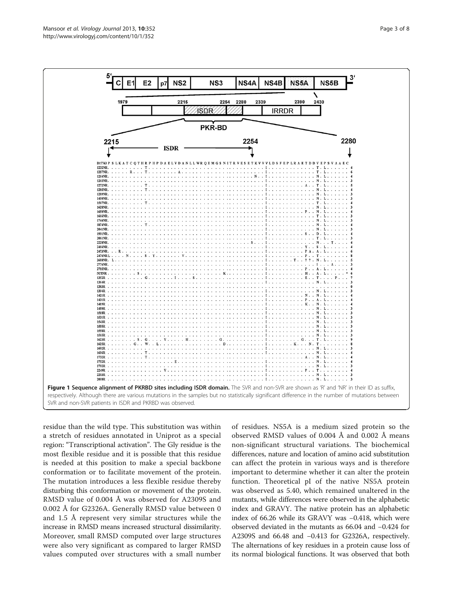<span id="page-2-0"></span>

residue than the wild type. This substitution was within a stretch of residues annotated in Uniprot as a special region: "Transcriptional activation". The Gly residue is the most flexible residue and it is possible that this residue is needed at this position to make a special backbone conformation or to facilitate movement of the protein. The mutation introduces a less flexible residue thereby disturbing this conformation or movement of the protein. RMSD value of 0.004 Å was observed for A2309S and 0.002 Å for G2326A. Generally RMSD value between 0 and 1.5 Å represent very similar structures while the increase in RMSD means increased structural dissimilarity. Moreover, small RMSD computed over large structures were also very significant as compared to larger RMSD values computed over structures with a small number of residues. NS5A is a medium sized protein so the observed RMSD values of 0.004 Å and 0.002 Å means non-significant structural variations. The biochemical differences, nature and location of amino acid substitution can affect the protein in various ways and is therefore important to determine whether it can alter the protein function. Theoretical pI of the native NS5A protein was observed as 5.40, which remained unaltered in the mutants, while differences were observed in the alphabetic index and GRAVY. The native protein has an alphabetic index of 66.26 while its GRAVY was −0.418, which were observed deviated in the mutants as 66.04 and −0.424 for A2309S and 66.48 and −0.413 for G2326A, respectively. The alternations of key residues in a protein cause loss of its normal biological functions. It was observed that both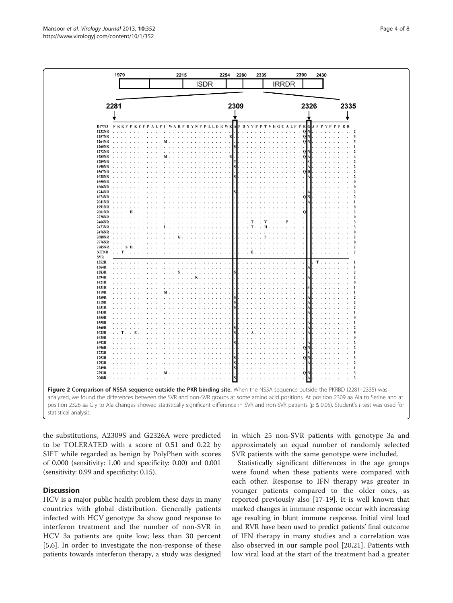the substitutions, A2309S and G2326A were predicted to be TOLERATED with a score of 0.51 and 0.22 by SIFT while regarded as benign by PolyPhen with scores of 0.000 (sensitivity: 1.00 and specificity: 0.00) and 0.001 (sensitivity: 0.99 and specificity: 0.15).

# **Discussion**

HCV is a major public health problem these days in many countries with global distribution. Generally patients infected with HCV genotype 3a show good response to interferon treatment and the number of non-SVR in HCV 3a patients are quite low; less than 30 percent [[5,6](#page-6-0)]. In order to investigate the non-response of these patients towards interferon therapy, a study was designed

in which 25 non-SVR patients with genotype 3a and approximately an equal number of randomly selected SVR patients with the same genotype were included.

Statistically significant differences in the age groups were found when these patients were compared with each other. Response to IFN therapy was greater in younger patients compared to the older ones, as reported previously also [[17-19](#page-7-0)]. It is well known that marked changes in immune response occur with increasing age resulting in blunt immune response. Initial viral load and RVR have been used to predict patients' final outcome of IFN therapy in many studies and a correlation was also observed in our sample pool [\[20](#page-7-0),[21\]](#page-7-0). Patients with low viral load at the start of the treatment had a greater

<span id="page-3-0"></span>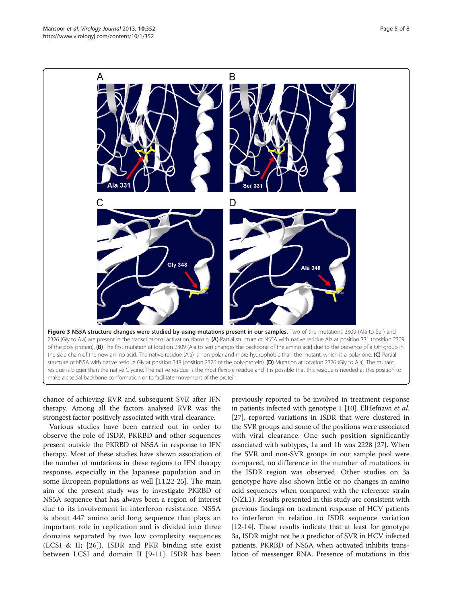<span id="page-4-0"></span>

chance of achieving RVR and subsequent SVR after IFN therapy. Among all the factors analysed RVR was the strongest factor positively associated with viral clearance.

Various studies have been carried out in order to observe the role of ISDR, PKRBD and other sequences present outside the PKRBD of NS5A in response to IFN therapy. Most of these studies have shown association of the number of mutations in these regions to IFN therapy response, especially in the Japanese population and in some European populations as well [[11,22](#page-7-0)-[25](#page-7-0)]. The main aim of the present study was to investigate PKRBD of NS5A sequence that has always been a region of interest due to its involvement in interferon resistance. NS5A is about 447 amino acid long sequence that plays an important role in replication and is divided into three domains separated by two low complexity sequences (LCSI & II; [[26](#page-7-0)]). ISDR and PKR binding site exist between LCSI and domain II [[9](#page-7-0)-[11](#page-7-0)]. ISDR has been

previously reported to be involved in treatment response in patients infected with genotype 1 [\[10\]](#page-7-0). ElHefnawi et al. [[27](#page-7-0)], reported variations in ISDR that were clustered in the SVR groups and some of the positions were associated with viral clearance. One such position significantly associated with subtypes, 1a and 1b was 2228 [[27](#page-7-0)]. When the SVR and non-SVR groups in our sample pool were compared, no difference in the number of mutations in the ISDR region was observed. Other studies on 3a genotype have also shown little or no changes in amino acid sequences when compared with the reference strain (NZL1). Results presented in this study are consistent with previous findings on treatment response of HCV patients to interferon in relation to ISDR sequence variation [[12](#page-7-0)-[14\]](#page-7-0). These results indicate that at least for genotype 3a, ISDR might not be a predictor of SVR in HCV infected patients. PKRBD of NS5A when activated inhibits translation of messenger RNA. Presence of mutations in this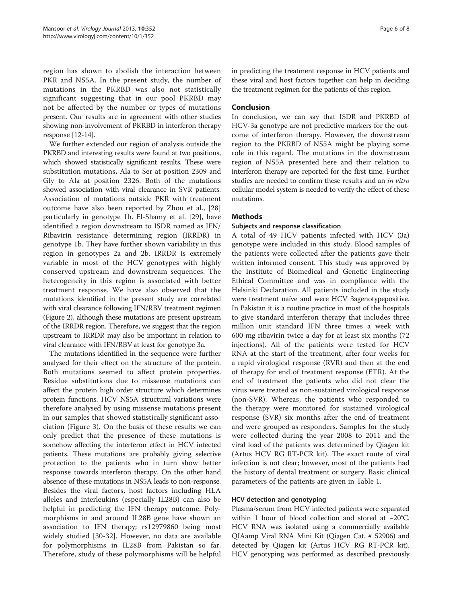region has shown to abolish the interaction between PKR and NS5A. In the present study, the number of mutations in the PKRBD was also not statistically significant suggesting that in our pool PKRBD may not be affected by the number or types of mutations present. Our results are in agreement with other studies showing non-involvement of PKRBD in interferon therapy response [\[12-14](#page-7-0)].

We further extended our region of analysis outside the PKRBD and interesting results were found at two positions, which showed statistically significant results. These were substitution mutations, Ala to Ser at position 2309 and Gly to Ala at position 2326. Both of the mutations showed association with viral clearance in SVR patients. Association of mutations outside PKR with treatment outcome have also been reported by Zhou et al., [\[28](#page-7-0)] particularly in genotype 1b. El-Shamy et al. [[29](#page-7-0)], have identified a region downstream to ISDR named as IFN/ Ribavirin resistance determining region (IRRDR) in genotype 1b. They have further shown variability in this region in genotypes 2a and 2b. IRRDR is extremely variable in most of the HCV genotypes with highly conserved upstream and downstream sequences. The heterogeneity in this region is associated with better treatment response. We have also observed that the mutations identified in the present study are correlated with viral clearance following IFN/RBV treatment regimen (Figure [2\)](#page-3-0), although these mutations are present upstream of the IRRDR region. Therefore, we suggest that the region upstream to IRRDR may also be important in relation to viral clearance with IFN/RBV at least for genotype 3a.

The mutations identified in the sequence were further analysed for their effect on the structure of the protein. Both mutations seemed to affect protein properties. Residue substitutions due to missense mutations can affect the protein high order structure which determines protein functions. HCV NS5A structural variations were therefore analysed by using missense mutations present in our samples that showed statistically significant association (Figure [3\)](#page-4-0). On the basis of these results we can only predict that the presence of these mutations is somehow affecting the interferon effect in HCV infected patients. These mutations are probably giving selective protection to the patients who in turn show better response towards interferon therapy. On the other hand absence of these mutations in NS5A leads to non-response. Besides the viral factors, host factors including HLA alleles and interleukins (especially IL28B) can also be helpful in predicting the IFN therapy outcome. Polymorphisms in and around IL28B gene have shown an association to IFN therapy; rs12979860 being most widely studied [\[30](#page-7-0)-[32\]](#page-7-0). However, no data are available for polymorphisms in IL28B from Pakistan so far. Therefore, study of these polymorphisms will be helpful in predicting the treatment response in HCV patients and these viral and host factors together can help in deciding the treatment regimen for the patients of this region.

# Conclusion

In conclusion, we can say that ISDR and PKRBD of HCV-3a genotype are not predictive markers for the outcome of interferon therapy. However, the downstream region to the PKRBD of NS5A might be playing some role in this regard. The mutations in the downstream region of NS5A presented here and their relation to interferon therapy are reported for the first time. Further studies are needed to confirm these results and an in vitro cellular model system is needed to verify the effect of these mutations.

# **Methods**

# Subjects and response classification

A total of 49 HCV patients infected with HCV (3a) genotype were included in this study. Blood samples of the patients were collected after the patients gave their written informed consent. This study was approved by the Institute of Biomedical and Genetic Engineering Ethical Committee and was in compliance with the Helsinki Declaration. All patients included in the study were treatment naïve and were HCV 3agenotypepositive. In Pakistan it is a routine practice in most of the hospitals to give standard interferon therapy that includes three million unit standard IFN three times a week with 600 mg ribavirin twice a day for at least six months (72 injections). All of the patients were tested for HCV RNA at the start of the treatment, after four weeks for a rapid virological response (RVR) and then at the end of therapy for end of treatment response (ETR). At the end of treatment the patients who did not clear the virus were treated as non-sustained virological response (non-SVR). Whereas, the patients who responded to the therapy were monitored for sustained virological response (SVR) six months after the end of treatment and were grouped as responders. Samples for the study were collected during the year 2008 to 2011 and the viral load of the patients was determined by Qiagen kit (Artus HCV RG RT-PCR kit). The exact route of viral infection is not clear; however, most of the patients had the history of dental treatment or surgery. Basic clinical parameters of the patients are given in Table [1.](#page-1-0)

# HCV detection and genotyping

Plasma/serum from HCV infected patients were separated within 1 hour of blood collection and stored at −20°C. HCV RNA was isolated using a commercially available QIAamp Viral RNA Mini Kit (Qiagen Cat. # 52906) and detected by Qiagen kit (Artus HCV RG RT-PCR kit). HCV genotyping was performed as described previously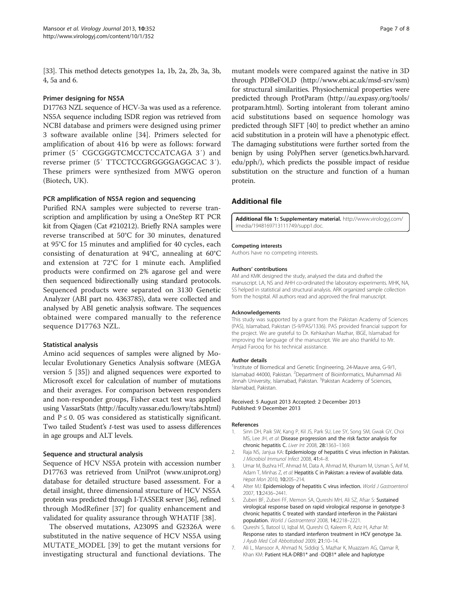<span id="page-6-0"></span>[[33](#page-7-0)]. This method detects genotypes 1a, 1b, 2a, 2b, 3a, 3b, 4, 5a and 6.

## Primer designing for NS5A

D17763 NZL sequence of HCV-3a was used as a reference. NS5A sequence including ISDR region was retrieved from NCBI database and primers were designed using primer 3 software available online [\[34](#page-7-0)]. Primers selected for amplification of about 416 bp were as follows: forward primer (5′ CGCGGGTCMCCTCCATCAGA 3′) and reverse primer (5′ TTCCTCCGRGGGGAGGCAC 3′). These primers were synthesized from MWG operon (Biotech, UK).

## PCR amplification of NS5A region and sequencing

Purified RNA samples were subjected to reverse transcription and amplification by using a OneStep RT PCR kit from Qiagen (Cat #210212). Briefly RNA samples were reverse transcribed at 50°C for 30 minutes, denatured at 95°C for 15 minutes and amplified for 40 cycles, each consisting of denaturation at 94°C, annealing at 60°C and extension at 72°C for 1 minute each. Amplified products were confirmed on 2% agarose gel and were then sequenced bidirectionally using standard protocols. Sequenced products were separated on 3130 Genetic Analyzer (ABI part no. 4363785), data were collected and analysed by ABI genetic analysis software. The sequences obtained were compared manually to the reference sequence D17763 NZL.

## Statistical analysis

Amino acid sequences of samples were aligned by Molecular Evolutionary Genetics Analysis software (MEGA version 5 [[35\]](#page-7-0)) and aligned sequences were exported to Microsoft excel for calculation of number of mutations and their averages. For comparison between responders and non-responder groups, Fisher exact test was applied using VassarStats [\(http://faculty.vassar.edu/lowry/tabs.html](http://faculty.vassar.edu/lowry/tabs.html)) and  $P \le 0$ . 05 was considered as statistically significant. Two tailed Student's t-test was used to assess differences in age groups and ALT levels.

## Sequence and structural analysis

Sequence of HCV NS5A protein with accession number D17763 was retrieved from UniProt ([www.uniprot.org](http://www.uniprot.org)) database for detailed structure based assessment. For a detail insight, three dimensional structure of HCV NS5A protein was predicted through I-TASSER server [[36](#page-7-0)], refined through ModRefiner [[37\]](#page-7-0) for quality enhancement and validated for quality assurance through WHATIF [[38\]](#page-7-0).

The observed mutations, A2309S and G2326A were substituted in the native sequence of HCV NS5A using MUTATE\_MODEL [\[39](#page-7-0)] to get the mutant versions for investigating structural and functional deviations. The

mutant models were compared against the native in 3D through PDBeFOLD [\(http://www.ebi.ac.uk/msd-srv/ssm](http://www.ebi.ac.uk/msd-srv/ssm)) for structural similarities. Physiochemical properties were predicted through ProtParam [\(http://au.expasy.org/tools/](http://au.expasy.org/tools/protparam.html) [protparam.html\)](http://au.expasy.org/tools/protparam.html). Sorting intolerant from tolerant amino acid substitutions based on sequence homology was predicted through SIFT [\[40](#page-7-0)] to predict whether an amino acid substitution in a protein will have a phenotypic effect. The damaging substitutions were further sorted from the benign by using PolyPhen server (genetics.bwh.harvard. edu/pph/), which predicts the possible impact of residue substitution on the structure and function of a human protein.

# Additional file

[Additional file 1:](http://www.biomedcentral.com/content/supplementary/1743-422X-10-352-S1.doc) Supplementary material. [http://www.virologyj.com/](http://www.virologyj.com/imedia/1948169713111749/supp1.doc) [imedia/1948169713111749/supp1.doc.](http://www.virologyj.com/imedia/1948169713111749/supp1.doc)

#### Competing interests

Authors have no competing interests.

#### Authors' contributions

AM and KMK designed the study, analysed the data and drafted the manuscript. LA, NS and AHH co-ordinated the laboratory experiments. MHK, NA, SS helped in statistical and structural analysis. ARK organized sample collection from the hospital. All authors read and approved the final manuscript.

#### Acknowledgements

This study was supported by a grant from the Pakistan Academy of Sciences (PAS), Islamabad, Pakistan (5-9/PAS/1336). PAS provided financial support for the project. We are grateful to Dr. Kehkashan Mazhar, IBGE, Islamabad for improving the language of the manuscript. We are also thankful to Mr. Amjad Farooq for his technical assistance.

#### Author details

<sup>1</sup>Institute of Biomedical and Genetic Engineering, 24-Mauve area, G-9/1, Islamabad 44000, Pakistan. <sup>2</sup>Department of Bioinformatics, Muhammad Ali Jinnah University, Islamabad, Pakistan. <sup>3</sup>Pakistan Academy of Sciences Islamabad, Pakistan.

#### Received: 5 August 2013 Accepted: 2 December 2013 Published: 9 December 2013

#### References

- 1. Sinn DH, Paik SW, Kang P, Kil JS, Park SU, Lee SY, Song SM, Gwak GY, Choi MS, Lee JH, et al: Disease progression and the risk factor analysis for chronic hepatitis C. Liver Int 2008, 28:1363–1369.
- 2. Raja NS, Janjua KA: Epidemiology of hepatitis C virus infection in Pakistan. J Microbiol Immunol Infect 2008, 41:4–8.
- 3. Umar M, Bushra HT, Ahmad M, Data A, Ahmad M, Khurram M, Usman S, Arif M, Adam T, Minhas Z, et al: Hepatitis C in Pakistan: a review of available data. Hepat Mon 2010, 10:205–214.
- 4. Alter MJ: Epidemiology of hepatitis C virus infection. World J Gastroenterol 2007, 13:2436–2441.
- Zuberi BF, Zuberi FF, Memon SA, Qureshi MH, Ali SZ, Afsar S: Sustained virological response based on rapid virological response in genotype-3 chronic hepatitis C treated with standard interferon in the Pakistani population. World J Gastroenterol 2008, 14:2218–2221.
- 6. Qureshi S, Batool U, Iqbal M, Qureshi O, Kaleem R, Aziz H, Azhar M: Response rates to standard interferon treatment in HCV genotype 3a. J Ayub Med Coll Abbottabad 2009, 21:10–14.
- 7. Ali L, Mansoor A, Ahmad N, Siddiqi S, Mazhar K, Muazzam AG, Qamar R, Khan KM: Patient HLA-DRB1\* and -DQB1\* allele and haplotype